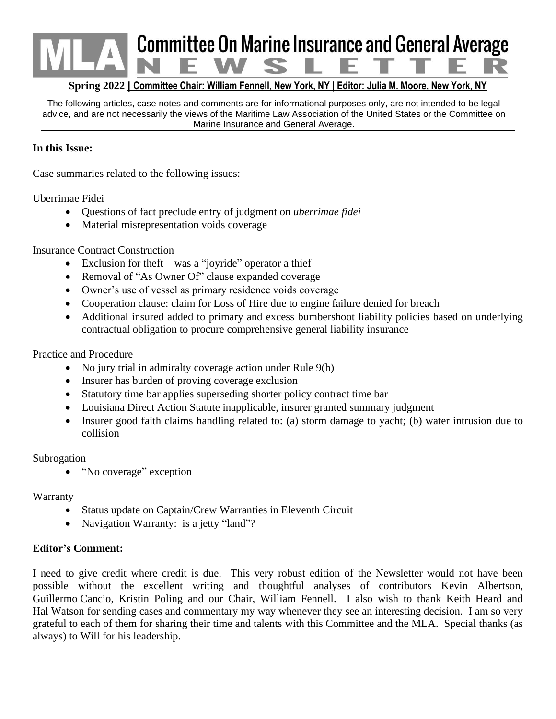# **Committee On Marine Insurance and General Average**

#### **Spring 2022 | Committee Chair: William Fennell, New York, NY | Editor: Julia M. Moore, New York, NY**

The following articles, case notes and comments are for informational purposes only, are not intended to be legal advice, and are not necessarily the views of the Maritime Law Association of the United States or the Committee on Marine Insurance and General Average.

#### **In this Issue:**

Case summaries related to the following issues:

Uberrimae Fidei

- Questions of fact preclude entry of judgment on *uberrimae fidei*
- Material misrepresentation voids coverage

Insurance Contract Construction

- Exclusion for theft was a "joyride" operator a thief
- Removal of "As Owner Of" clause expanded coverage
- Owner's use of vessel as primary residence voids coverage
- Cooperation clause: claim for Loss of Hire due to engine failure denied for breach
- Additional insured added to primary and excess bumbershoot liability policies based on underlying contractual obligation to procure comprehensive general liability insurance

Practice and Procedure

- No jury trial in admiralty coverage action under Rule 9(h)
- Insurer has burden of proving coverage exclusion
- Statutory time bar applies superseding shorter policy contract time bar
- Louisiana Direct Action Statute inapplicable, insurer granted summary judgment
- Insurer good faith claims handling related to: (a) storm damage to yacht; (b) water intrusion due to collision

#### Subrogation

• "No coverage" exception

Warranty

- Status update on Captain/Crew Warranties in Eleventh Circuit
- Navigation Warranty: is a jetty "land"?

#### **Editor's Comment:**

I need to give credit where credit is due. This very robust edition of the Newsletter would not have been possible without the excellent writing and thoughtful analyses of contributors Kevin Albertson, Guillermo Cancio, Kristin Poling and our Chair, William Fennell. I also wish to thank Keith Heard and Hal Watson for sending cases and commentary my way whenever they see an interesting decision. I am so very grateful to each of them for sharing their time and talents with this Committee and the MLA. Special thanks (as always) to Will for his leadership.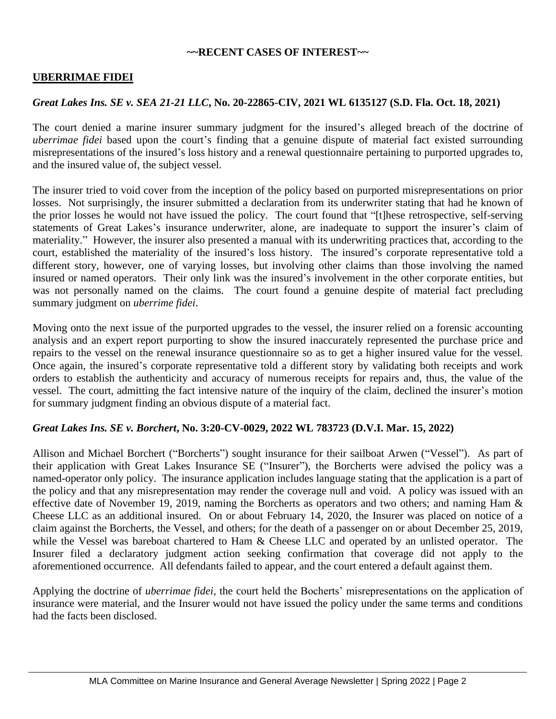#### **~~RECENT CASES OF INTEREST~~**

#### **UBERRIMAE FIDEI**

#### *Great Lakes Ins. SE v. SEA 21-21 LLC***, No. 20-22865-CIV, 2021 WL 6135127 (S.D. Fla. Oct. 18, 2021)**

The court denied a marine insurer summary judgment for the insured's alleged breach of the doctrine of *uberrimae fidei* based upon the court's finding that a genuine dispute of material fact existed surrounding misrepresentations of the insured's loss history and a renewal questionnaire pertaining to purported upgrades to, and the insured value of, the subject vessel.

The insurer tried to void cover from the inception of the policy based on purported misrepresentations on prior losses. Not surprisingly, the insurer submitted a declaration from its underwriter stating that had he known of the prior losses he would not have issued the policy. The court found that "[t]hese retrospective, self-serving statements of Great Lakes's insurance underwriter, alone, are inadequate to support the insurer's claim of materiality." However, the insurer also presented a manual with its underwriting practices that, according to the court, established the materiality of the insured's loss history. The insured's corporate representative told a different story, however, one of varying losses, but involving other claims than those involving the named insured or named operators. Their only link was the insured's involvement in the other corporate entities, but was not personally named on the claims. The court found a genuine despite of material fact precluding summary judgment on *uberrime fidei*.

Moving onto the next issue of the purported upgrades to the vessel, the insurer relied on a forensic accounting analysis and an expert report purporting to show the insured inaccurately represented the purchase price and repairs to the vessel on the renewal insurance questionnaire so as to get a higher insured value for the vessel. Once again, the insured's corporate representative told a different story by validating both receipts and work orders to establish the authenticity and accuracy of numerous receipts for repairs and, thus, the value of the vessel. The court, admitting the fact intensive nature of the inquiry of the claim, declined the insurer's motion for summary judgment finding an obvious dispute of a material fact.

#### *Great Lakes Ins. SE v. Borchert***, No. 3:20-CV-0029, 2022 WL 783723 (D.V.I. Mar. 15, 2022)**

Allison and Michael Borchert ("Borcherts") sought insurance for their sailboat Arwen ("Vessel"). As part of their application with Great Lakes Insurance SE ("Insurer"), the Borcherts were advised the policy was a named-operator only policy. The insurance application includes language stating that the application is a part of the policy and that any misrepresentation may render the coverage null and void. A policy was issued with an effective date of November 19, 2019, naming the Borcherts as operators and two others; and naming Ham & Cheese LLC as an additional insured. On or about February 14, 2020, the Insurer was placed on notice of a claim against the Borcherts, the Vessel, and others; for the death of a passenger on or about December 25, 2019, while the Vessel was bareboat chartered to Ham & Cheese LLC and operated by an unlisted operator. The Insurer filed a declaratory judgment action seeking confirmation that coverage did not apply to the aforementioned occurrence. All defendants failed to appear, and the court entered a default against them.

Applying the doctrine of *uberrimae fidei,* the court held the Bocherts' misrepresentations on the application of insurance were material, and the Insurer would not have issued the policy under the same terms and conditions had the facts been disclosed.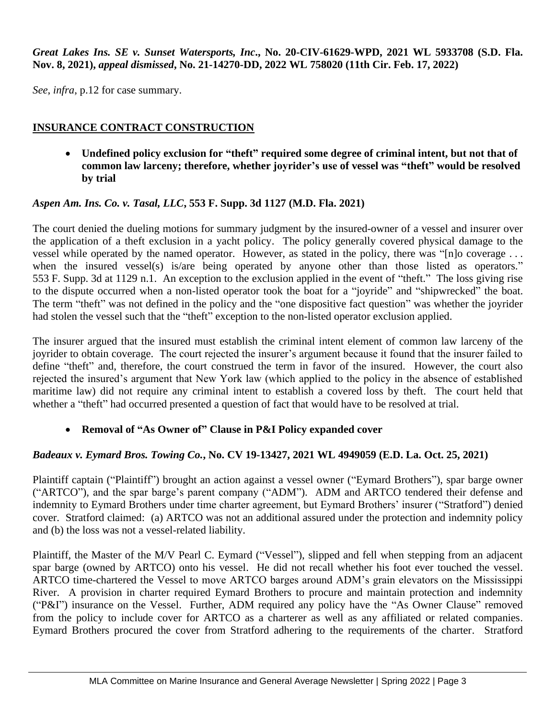#### *Great Lakes Ins. SE v. Sunset Watersports, Inc***., No. 20-CIV-61629-WPD, 2021 WL 5933708 (S.D. Fla. Nov. 8, 2021),** *appeal dismissed***, No. 21-14270-DD, 2022 WL 758020 (11th Cir. Feb. 17, 2022)**

*See*, *infra*, p.12 for case summary.

## **INSURANCE CONTRACT CONSTRUCTION**

• **Undefined policy exclusion for "theft" required some degree of criminal intent, but not that of common law larceny; therefore, whether joyrider's use of vessel was "theft" would be resolved by trial**

#### *Aspen Am. Ins. Co. v. Tasal, LLC***, 553 F. Supp. 3d 1127 (M.D. Fla. 2021)**

The court denied the dueling motions for summary judgment by the insured-owner of a vessel and insurer over the application of a theft exclusion in a yacht policy. The policy generally covered physical damage to the vessel while operated by the named operator. However, as stated in the policy, there was "[n]o coverage . . . when the insured vessel(s) is/are being operated by anyone other than those listed as operators." 553 F. Supp. 3d at 1129 n.1. An exception to the exclusion applied in the event of "theft." The loss giving rise to the dispute occurred when a non-listed operator took the boat for a "joyride" and "shipwrecked" the boat. The term "theft" was not defined in the policy and the "one dispositive fact question" was whether the joyrider had stolen the vessel such that the "theft" exception to the non-listed operator exclusion applied.

The insurer argued that the insured must establish the criminal intent element of common law larceny of the joyrider to obtain coverage. The court rejected the insurer's argument because it found that the insurer failed to define "theft" and, therefore, the court construed the term in favor of the insured. However, the court also rejected the insured's argument that New York law (which applied to the policy in the absence of established maritime law) did not require any criminal intent to establish a covered loss by theft. The court held that whether a "theft" had occurred presented a question of fact that would have to be resolved at trial.

## • **Removal of "As Owner of" Clause in P&I Policy expanded cover**

## *Badeaux v. Eymard Bros. Towing Co.***, No. CV 19-13427, 2021 WL 4949059 (E.D. La. Oct. 25, 2021)**

Plaintiff captain ("Plaintiff") brought an action against a vessel owner ("Eymard Brothers"), spar barge owner ("ARTCO"), and the spar barge's parent company ("ADM"). ADM and ARTCO tendered their defense and indemnity to Eymard Brothers under time charter agreement, but Eymard Brothers' insurer ("Stratford") denied cover. Stratford claimed: (a) ARTCO was not an additional assured under the protection and indemnity policy and (b) the loss was not a vessel-related liability.

Plaintiff, the Master of the M/V Pearl C. Eymard ("Vessel"), slipped and fell when stepping from an adjacent spar barge (owned by ARTCO) onto his vessel. He did not recall whether his foot ever touched the vessel. ARTCO time-chartered the Vessel to move ARTCO barges around ADM's grain elevators on the Mississippi River. A provision in charter required Eymard Brothers to procure and maintain protection and indemnity ("P&I") insurance on the Vessel. Further, ADM required any policy have the "As Owner Clause" removed from the policy to include cover for ARTCO as a charterer as well as any affiliated or related companies. Eymard Brothers procured the cover from Stratford adhering to the requirements of the charter. Stratford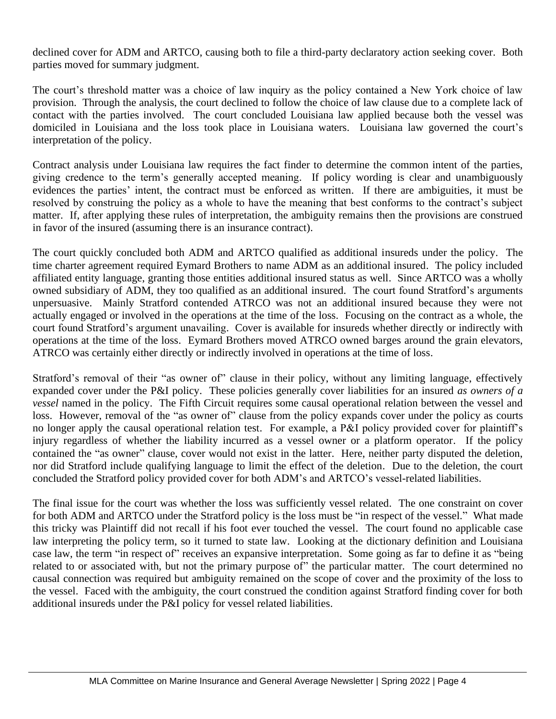declined cover for ADM and ARTCO, causing both to file a third-party declaratory action seeking cover. Both parties moved for summary judgment.

The court's threshold matter was a choice of law inquiry as the policy contained a New York choice of law provision. Through the analysis, the court declined to follow the choice of law clause due to a complete lack of contact with the parties involved. The court concluded Louisiana law applied because both the vessel was domiciled in Louisiana and the loss took place in Louisiana waters. Louisiana law governed the court's interpretation of the policy.

Contract analysis under Louisiana law requires the fact finder to determine the common intent of the parties, giving credence to the term's generally accepted meaning. If policy wording is clear and unambiguously evidences the parties' intent, the contract must be enforced as written. If there are ambiguities, it must be resolved by construing the policy as a whole to have the meaning that best conforms to the contract's subject matter. If, after applying these rules of interpretation, the ambiguity remains then the provisions are construed in favor of the insured (assuming there is an insurance contract).

The court quickly concluded both ADM and ARTCO qualified as additional insureds under the policy. The time charter agreement required Eymard Brothers to name ADM as an additional insured. The policy included affiliated entity language, granting those entities additional insured status as well. Since ARTCO was a wholly owned subsidiary of ADM, they too qualified as an additional insured. The court found Stratford's arguments unpersuasive. Mainly Stratford contended ATRCO was not an additional insured because they were not actually engaged or involved in the operations at the time of the loss. Focusing on the contract as a whole, the court found Stratford's argument unavailing. Cover is available for insureds whether directly or indirectly with operations at the time of the loss. Eymard Brothers moved ATRCO owned barges around the grain elevators, ATRCO was certainly either directly or indirectly involved in operations at the time of loss.

Stratford's removal of their "as owner of" clause in their policy, without any limiting language, effectively expanded cover under the P&I policy. These policies generally cover liabilities for an insured *as owners of a vessel* named in the policy. The Fifth Circuit requires some causal operational relation between the vessel and loss. However, removal of the "as owner of" clause from the policy expands cover under the policy as courts no longer apply the causal operational relation test. For example, a P&I policy provided cover for plaintiff's injury regardless of whether the liability incurred as a vessel owner or a platform operator. If the policy contained the "as owner" clause, cover would not exist in the latter. Here, neither party disputed the deletion, nor did Stratford include qualifying language to limit the effect of the deletion. Due to the deletion, the court concluded the Stratford policy provided cover for both ADM's and ARTCO's vessel-related liabilities.

The final issue for the court was whether the loss was sufficiently vessel related. The one constraint on cover for both ADM and ARTCO under the Stratford policy is the loss must be "in respect of the vessel." What made this tricky was Plaintiff did not recall if his foot ever touched the vessel. The court found no applicable case law interpreting the policy term, so it turned to state law. Looking at the dictionary definition and Louisiana case law, the term "in respect of" receives an expansive interpretation. Some going as far to define it as "being related to or associated with, but not the primary purpose of" the particular matter. The court determined no causal connection was required but ambiguity remained on the scope of cover and the proximity of the loss to the vessel. Faced with the ambiguity, the court construed the condition against Stratford finding cover for both additional insureds under the P&I policy for vessel related liabilities.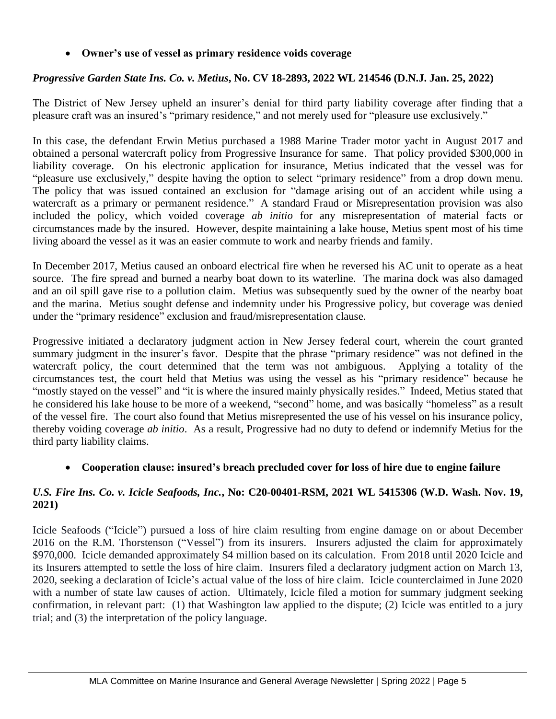#### • **Owner's use of vessel as primary residence voids coverage**

#### *Progressive Garden State Ins. Co. v. Metius***, No. CV 18-2893, 2022 WL 214546 (D.N.J. Jan. 25, 2022)**

The District of New Jersey upheld an insurer's denial for third party liability coverage after finding that a pleasure craft was an insured's "primary residence," and not merely used for "pleasure use exclusively."

In this case, the defendant Erwin Metius purchased a 1988 Marine Trader motor yacht in August 2017 and obtained a personal watercraft policy from Progressive Insurance for same. That policy provided \$300,000 in liability coverage. On his electronic application for insurance, Metius indicated that the vessel was for "pleasure use exclusively," despite having the option to select "primary residence" from a drop down menu. The policy that was issued contained an exclusion for "damage arising out of an accident while using a watercraft as a primary or permanent residence." A standard Fraud or Misrepresentation provision was also included the policy, which voided coverage *ab initio* for any misrepresentation of material facts or circumstances made by the insured. However, despite maintaining a lake house, Metius spent most of his time living aboard the vessel as it was an easier commute to work and nearby friends and family.

In December 2017, Metius caused an onboard electrical fire when he reversed his AC unit to operate as a heat source. The fire spread and burned a nearby boat down to its waterline. The marina dock was also damaged and an oil spill gave rise to a pollution claim. Metius was subsequently sued by the owner of the nearby boat and the marina. Metius sought defense and indemnity under his Progressive policy, but coverage was denied under the "primary residence" exclusion and fraud/misrepresentation clause.

Progressive initiated a declaratory judgment action in New Jersey federal court, wherein the court granted summary judgment in the insurer's favor. Despite that the phrase "primary residence" was not defined in the watercraft policy, the court determined that the term was not ambiguous. Applying a totality of the circumstances test, the court held that Metius was using the vessel as his "primary residence" because he "mostly stayed on the vessel" and "it is where the insured mainly physically resides." Indeed, Metius stated that he considered his lake house to be more of a weekend, "second" home, and was basically "homeless" as a result of the vessel fire. The court also found that Metius misrepresented the use of his vessel on his insurance policy, thereby voiding coverage *ab initio*. As a result, Progressive had no duty to defend or indemnify Metius for the third party liability claims.

#### • **Cooperation clause: insured's breach precluded cover for loss of hire due to engine failure**

#### *U.S. Fire Ins. Co. v. Icicle Seafoods, Inc.***, No: C20-00401-RSM, 2021 WL 5415306 (W.D. Wash. Nov. 19, 2021)**

Icicle Seafoods ("Icicle") pursued a loss of hire claim resulting from engine damage on or about December 2016 on the R.M. Thorstenson ("Vessel") from its insurers. Insurers adjusted the claim for approximately \$970,000. Icicle demanded approximately \$4 million based on its calculation. From 2018 until 2020 Icicle and its Insurers attempted to settle the loss of hire claim. Insurers filed a declaratory judgment action on March 13, 2020, seeking a declaration of Icicle's actual value of the loss of hire claim. Icicle counterclaimed in June 2020 with a number of state law causes of action. Ultimately, Icicle filed a motion for summary judgment seeking confirmation, in relevant part: (1) that Washington law applied to the dispute; (2) Icicle was entitled to a jury trial; and (3) the interpretation of the policy language.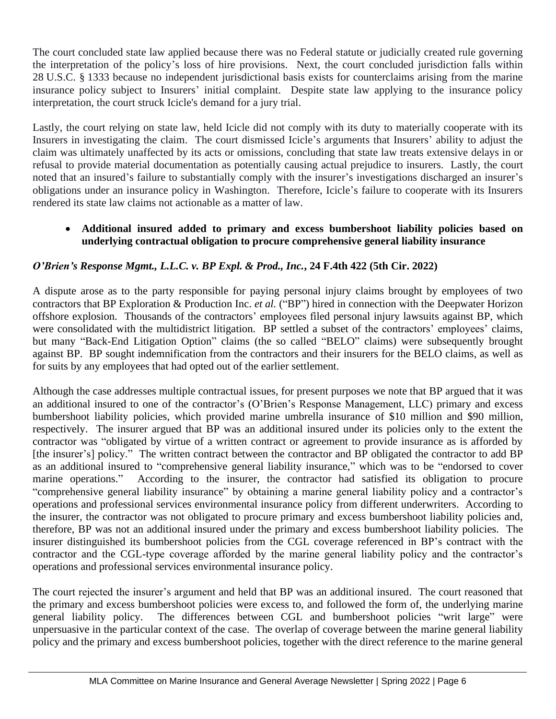The court concluded state law applied because there was no Federal statute or judicially created rule governing the interpretation of the policy's loss of hire provisions. Next, the court concluded jurisdiction falls within 28 U.S.C. § 1333 because no independent jurisdictional basis exists for counterclaims arising from the marine insurance policy subject to Insurers' initial complaint. Despite state law applying to the insurance policy interpretation, the court struck Icicle's demand for a jury trial.

Lastly, the court relying on state law, held Icicle did not comply with its duty to materially cooperate with its Insurers in investigating the claim. The court dismissed Icicle's arguments that Insurers' ability to adjust the claim was ultimately unaffected by its acts or omissions, concluding that state law treats extensive delays in or refusal to provide material documentation as potentially causing actual prejudice to insurers. Lastly, the court noted that an insured's failure to substantially comply with the insurer's investigations discharged an insurer's obligations under an insurance policy in Washington. Therefore, Icicle's failure to cooperate with its Insurers rendered its state law claims not actionable as a matter of law.

#### • **Additional insured added to primary and excess bumbershoot liability policies based on underlying contractual obligation to procure comprehensive general liability insurance**

## *O'Brien's Response Mgmt., L.L.C. v. BP Expl. & Prod., Inc.***, 24 F.4th 422 (5th Cir. 2022)**

A dispute arose as to the party responsible for paying personal injury claims brought by employees of two contractors that BP Exploration & Production Inc. *et al.* ("BP") hired in connection with the Deepwater Horizon offshore explosion. Thousands of the contractors' employees filed personal injury lawsuits against BP, which were consolidated with the multidistrict litigation. BP settled a subset of the contractors' employees' claims, but many "Back-End Litigation Option" claims (the so called "BELO" claims) were subsequently brought against BP. BP sought indemnification from the contractors and their insurers for the BELO claims, as well as for suits by any employees that had opted out of the earlier settlement.

Although the case addresses multiple contractual issues, for present purposes we note that BP argued that it was an additional insured to one of the contractor's (O'Brien's Response Management, LLC) primary and excess bumbershoot liability policies, which provided marine umbrella insurance of \$10 million and \$90 million, respectively. The insurer argued that BP was an additional insured under its policies only to the extent the contractor was "obligated by virtue of a written contract or agreement to provide insurance as is afforded by [the insurer's] policy." The written contract between the contractor and BP obligated the contractor to add BP as an additional insured to "comprehensive general liability insurance," which was to be "endorsed to cover marine operations." According to the insurer, the contractor had satisfied its obligation to procure "comprehensive general liability insurance" by obtaining a marine general liability policy and a contractor's operations and professional services environmental insurance policy from different underwriters. According to the insurer, the contractor was not obligated to procure primary and excess bumbershoot liability policies and, therefore, BP was not an additional insured under the primary and excess bumbershoot liability policies. The insurer distinguished its bumbershoot policies from the CGL coverage referenced in BP's contract with the contractor and the CGL-type coverage afforded by the marine general liability policy and the contractor's operations and professional services environmental insurance policy.

The court rejected the insurer's argument and held that BP was an additional insured. The court reasoned that the primary and excess bumbershoot policies were excess to, and followed the form of, the underlying marine general liability policy. The differences between CGL and bumbershoot policies "writ large" were unpersuasive in the particular context of the case. The overlap of coverage between the marine general liability policy and the primary and excess bumbershoot policies, together with the direct reference to the marine general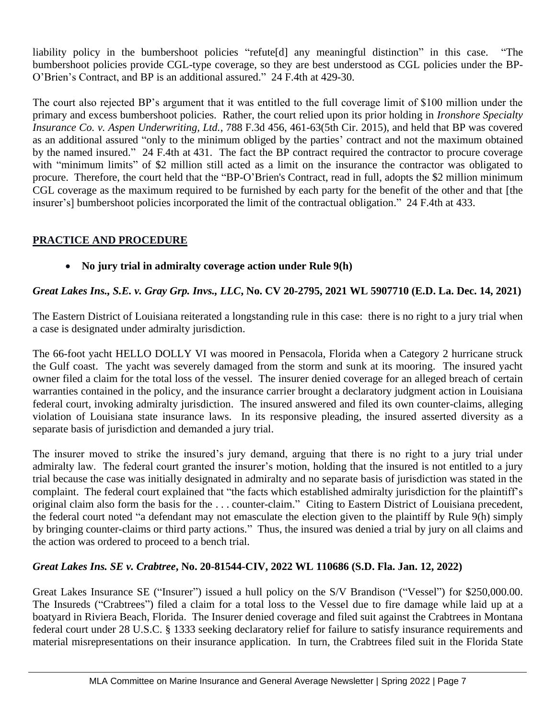liability policy in the bumbershoot policies "refute[d] any meaningful distinction" in this case. "The bumbershoot policies provide CGL-type coverage, so they are best understood as CGL policies under the BP-O'Brien's Contract, and BP is an additional assured." 24 F.4th at 429-30.

The court also rejected BP's argument that it was entitled to the full coverage limit of \$100 million under the primary and excess bumbershoot policies. Rather, the court relied upon its prior holding in *Ironshore Specialty Insurance Co. v. Aspen Underwriting, Ltd.*, 788 F.3d 456, 461-63(5th Cir. 2015), and held that BP was covered as an additional assured "only to the minimum obliged by the parties' contract and not the maximum obtained by the named insured." 24 F.4th at 431. The fact the BP contract required the contractor to procure coverage with "minimum limits" of \$2 million still acted as a limit on the insurance the contractor was obligated to procure. Therefore, the court held that the "BP-O'Brien's Contract, read in full, adopts the \$2 million minimum CGL coverage as the maximum required to be furnished by each party for the benefit of the other and that [the insurer's] bumbershoot policies incorporated the limit of the contractual obligation." 24 F.4th at 433.

## **PRACTICE AND PROCEDURE**

• **No jury trial in admiralty coverage action under Rule 9(h)**

## *Great Lakes Ins., S.E. v. Gray Grp. Invs., LLC***, No. CV 20-2795, 2021 WL 5907710 (E.D. La. Dec. 14, 2021)**

The Eastern District of Louisiana reiterated a longstanding rule in this case: there is no right to a jury trial when a case is designated under admiralty jurisdiction.

The 66-foot yacht HELLO DOLLY VI was moored in Pensacola, Florida when a Category 2 hurricane struck the Gulf coast. The yacht was severely damaged from the storm and sunk at its mooring. The insured yacht owner filed a claim for the total loss of the vessel. The insurer denied coverage for an alleged breach of certain warranties contained in the policy, and the insurance carrier brought a declaratory judgment action in Louisiana federal court, invoking admiralty jurisdiction. The insured answered and filed its own counter-claims, alleging violation of Louisiana state insurance laws. In its responsive pleading, the insured asserted diversity as a separate basis of jurisdiction and demanded a jury trial.

The insurer moved to strike the insured's jury demand, arguing that there is no right to a jury trial under admiralty law. The federal court granted the insurer's motion, holding that the insured is not entitled to a jury trial because the case was initially designated in admiralty and no separate basis of jurisdiction was stated in the complaint. The federal court explained that "the facts which established admiralty jurisdiction for the plaintiff's original claim also form the basis for the . . . counter-claim." Citing to Eastern District of Louisiana precedent, the federal court noted "a defendant may not emasculate the election given to the plaintiff by Rule 9(h) simply by bringing counter-claims or third party actions." Thus, the insured was denied a trial by jury on all claims and the action was ordered to proceed to a bench trial.

## *Great Lakes Ins. SE v. Crabtree***, No. 20-81544-CIV, 2022 WL 110686 (S.D. Fla. Jan. 12, 2022)**

Great Lakes Insurance SE ("Insurer") issued a hull policy on the S/V Brandison ("Vessel") for \$250,000.00. The Insureds ("Crabtrees") filed a claim for a total loss to the Vessel due to fire damage while laid up at a boatyard in Riviera Beach, Florida. The Insurer denied coverage and filed suit against the Crabtrees in Montana federal court under 28 U.S.C. § 1333 seeking declaratory relief for failure to satisfy insurance requirements and material misrepresentations on their insurance application. In turn, the Crabtrees filed suit in the Florida State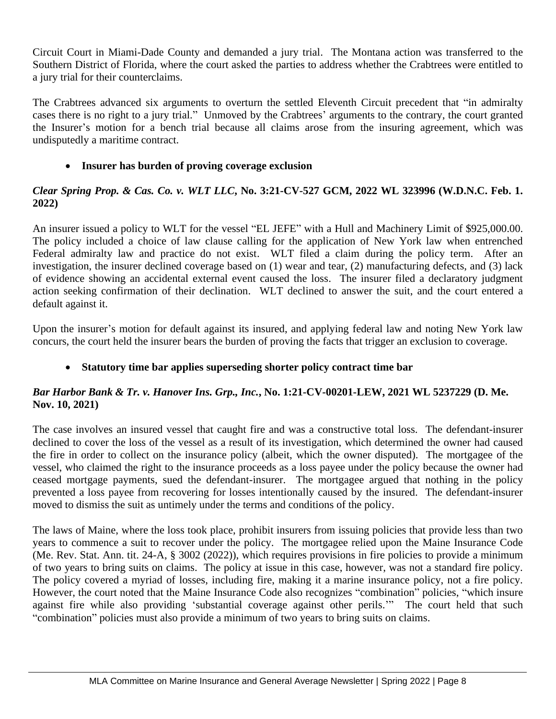Circuit Court in Miami-Dade County and demanded a jury trial. The Montana action was transferred to the Southern District of Florida, where the court asked the parties to address whether the Crabtrees were entitled to a jury trial for their counterclaims.

The Crabtrees advanced six arguments to overturn the settled Eleventh Circuit precedent that "in admiralty cases there is no right to a jury trial." Unmoved by the Crabtrees' arguments to the contrary, the court granted the Insurer's motion for a bench trial because all claims arose from the insuring agreement, which was undisputedly a maritime contract.

## • **Insurer has burden of proving coverage exclusion**

#### *Clear Spring Prop. & Cas. Co. v. WLT LLC***, No. 3:21-CV-527 GCM, 2022 WL 323996 (W.D.N.C. Feb. 1. 2022)**

An insurer issued a policy to WLT for the vessel "EL JEFE" with a Hull and Machinery Limit of \$925,000.00. The policy included a choice of law clause calling for the application of New York law when entrenched Federal admiralty law and practice do not exist. WLT filed a claim during the policy term. After an investigation, the insurer declined coverage based on (1) wear and tear, (2) manufacturing defects, and (3) lack of evidence showing an accidental external event caused the loss. The insurer filed a declaratory judgment action seeking confirmation of their declination. WLT declined to answer the suit, and the court entered a default against it.

Upon the insurer's motion for default against its insured, and applying federal law and noting New York law concurs, the court held the insurer bears the burden of proving the facts that trigger an exclusion to coverage.

## • **Statutory time bar applies superseding shorter policy contract time bar**

## *Bar Harbor Bank & Tr. v. Hanover Ins. Grp., Inc.***, No. 1:21-CV-00201-LEW, 2021 WL 5237229 (D. Me. Nov. 10, 2021)**

The case involves an insured vessel that caught fire and was a constructive total loss. The defendant-insurer declined to cover the loss of the vessel as a result of its investigation, which determined the owner had caused the fire in order to collect on the insurance policy (albeit, which the owner disputed). The mortgagee of the vessel, who claimed the right to the insurance proceeds as a loss payee under the policy because the owner had ceased mortgage payments, sued the defendant-insurer. The mortgagee argued that nothing in the policy prevented a loss payee from recovering for losses intentionally caused by the insured. The defendant-insurer moved to dismiss the suit as untimely under the terms and conditions of the policy.

The laws of Maine, where the loss took place, prohibit insurers from issuing policies that provide less than two years to commence a suit to recover under the policy. The mortgagee relied upon the Maine Insurance Code (Me. Rev. Stat. Ann. tit. 24-A, § 3002 (2022)), which requires provisions in fire policies to provide a minimum of two years to bring suits on claims. The policy at issue in this case, however, was not a standard fire policy. The policy covered a myriad of losses, including fire, making it a marine insurance policy, not a fire policy. However, the court noted that the Maine Insurance Code also recognizes "combination" policies, "which insure against fire while also providing 'substantial coverage against other perils.'" The court held that such "combination" policies must also provide a minimum of two years to bring suits on claims.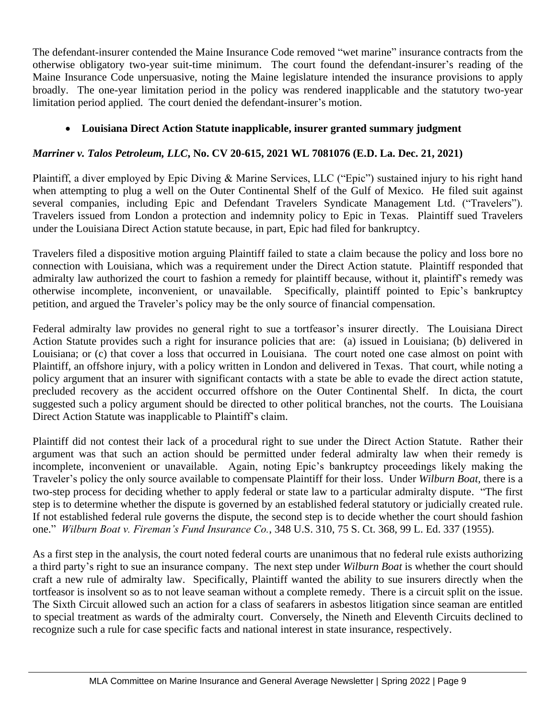The defendant-insurer contended the Maine Insurance Code removed "wet marine" insurance contracts from the otherwise obligatory two-year suit-time minimum. The court found the defendant-insurer's reading of the Maine Insurance Code unpersuasive, noting the Maine legislature intended the insurance provisions to apply broadly. The one-year limitation period in the policy was rendered inapplicable and the statutory two-year limitation period applied. The court denied the defendant-insurer's motion.

## • **Louisiana Direct Action Statute inapplicable, insurer granted summary judgment**

# *Marriner v. Talos Petroleum, LLC***, No. CV 20-615, 2021 WL 7081076 (E.D. La. Dec. 21, 2021)**

Plaintiff, a diver employed by Epic Diving & Marine Services, LLC ("Epic") sustained injury to his right hand when attempting to plug a well on the Outer Continental Shelf of the Gulf of Mexico. He filed suit against several companies, including Epic and Defendant Travelers Syndicate Management Ltd. ("Travelers"). Travelers issued from London a protection and indemnity policy to Epic in Texas. Plaintiff sued Travelers under the Louisiana Direct Action statute because, in part, Epic had filed for bankruptcy.

Travelers filed a dispositive motion arguing Plaintiff failed to state a claim because the policy and loss bore no connection with Louisiana, which was a requirement under the Direct Action statute. Plaintiff responded that admiralty law authorized the court to fashion a remedy for plaintiff because, without it, plaintiff's remedy was otherwise incomplete, inconvenient, or unavailable. Specifically, plaintiff pointed to Epic's bankruptcy petition, and argued the Traveler's policy may be the only source of financial compensation.

Federal admiralty law provides no general right to sue a tortfeasor's insurer directly. The Louisiana Direct Action Statute provides such a right for insurance policies that are: (a) issued in Louisiana; (b) delivered in Louisiana; or (c) that cover a loss that occurred in Louisiana. The court noted one case almost on point with Plaintiff, an offshore injury, with a policy written in London and delivered in Texas. That court, while noting a policy argument that an insurer with significant contacts with a state be able to evade the direct action statute, precluded recovery as the accident occurred offshore on the Outer Continental Shelf. In dicta, the court suggested such a policy argument should be directed to other political branches, not the courts. The Louisiana Direct Action Statute was inapplicable to Plaintiff's claim.

Plaintiff did not contest their lack of a procedural right to sue under the Direct Action Statute. Rather their argument was that such an action should be permitted under federal admiralty law when their remedy is incomplete, inconvenient or unavailable. Again, noting Epic's bankruptcy proceedings likely making the Traveler's policy the only source available to compensate Plaintiff for their loss. Under *Wilburn Boat,* there is a two-step process for deciding whether to apply federal or state law to a particular admiralty dispute. "The first step is to determine whether the dispute is governed by an established federal statutory or judicially created rule. If not established federal rule governs the dispute, the second step is to decide whether the court should fashion one." *Wilburn Boat v. Fireman's Fund Insurance Co.*, 348 U.S. 310, 75 S. Ct. 368, 99 L. Ed. 337 (1955).

As a first step in the analysis, the court noted federal courts are unanimous that no federal rule exists authorizing a third party's right to sue an insurance company. The next step under *Wilburn Boat* is whether the court should craft a new rule of admiralty law. Specifically, Plaintiff wanted the ability to sue insurers directly when the tortfeasor is insolvent so as to not leave seaman without a complete remedy. There is a circuit split on the issue. The Sixth Circuit allowed such an action for a class of seafarers in asbestos litigation since seaman are entitled to special treatment as wards of the admiralty court. Conversely, the Nineth and Eleventh Circuits declined to recognize such a rule for case specific facts and national interest in state insurance, respectively.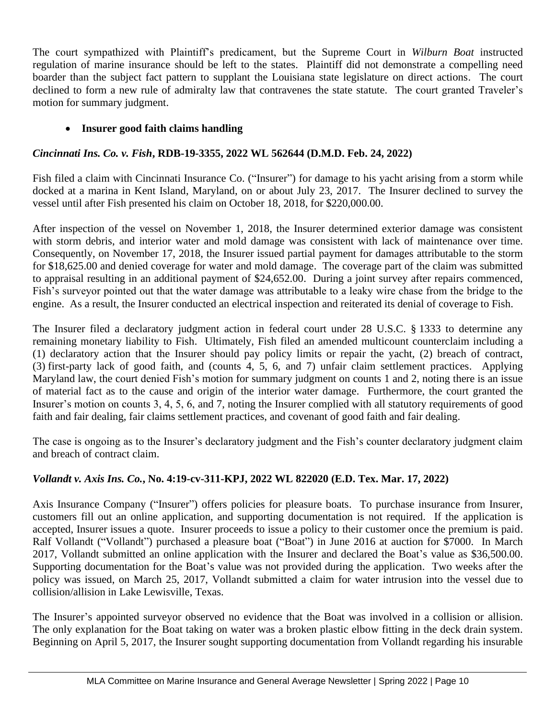The court sympathized with Plaintiff's predicament, but the Supreme Court in *Wilburn Boat* instructed regulation of marine insurance should be left to the states. Plaintiff did not demonstrate a compelling need boarder than the subject fact pattern to supplant the Louisiana state legislature on direct actions. The court declined to form a new rule of admiralty law that contravenes the state statute. The court granted Traveler's motion for summary judgment.

## • **Insurer good faith claims handling**

# *Cincinnati Ins. Co. v. Fish***, RDB-19-3355, 2022 WL 562644 (D.M.D. Feb. 24, 2022)**

Fish filed a claim with Cincinnati Insurance Co. ("Insurer") for damage to his yacht arising from a storm while docked at a marina in Kent Island, Maryland, on or about July 23, 2017. The Insurer declined to survey the vessel until after Fish presented his claim on October 18, 2018, for \$220,000.00.

After inspection of the vessel on November 1, 2018, the Insurer determined exterior damage was consistent with storm debris, and interior water and mold damage was consistent with lack of maintenance over time. Consequently, on November 17, 2018, the Insurer issued partial payment for damages attributable to the storm for \$18,625.00 and denied coverage for water and mold damage. The coverage part of the claim was submitted to appraisal resulting in an additional payment of \$24,652.00. During a joint survey after repairs commenced, Fish's surveyor pointed out that the water damage was attributable to a leaky wire chase from the bridge to the engine. As a result, the Insurer conducted an electrical inspection and reiterated its denial of coverage to Fish.

The Insurer filed a declaratory judgment action in federal court under 28 U.S.C. § 1333 to determine any remaining monetary liability to Fish. Ultimately, Fish filed an amended multicount counterclaim including a (1) declaratory action that the Insurer should pay policy limits or repair the yacht, (2) breach of contract, (3) first-party lack of good faith, and (counts 4, 5, 6, and 7) unfair claim settlement practices. Applying Maryland law, the court denied Fish's motion for summary judgment on counts 1 and 2, noting there is an issue of material fact as to the cause and origin of the interior water damage. Furthermore, the court granted the Insurer's motion on counts 3, 4, 5, 6, and 7, noting the Insurer complied with all statutory requirements of good faith and fair dealing, fair claims settlement practices, and covenant of good faith and fair dealing.

The case is ongoing as to the Insurer's declaratory judgment and the Fish's counter declaratory judgment claim and breach of contract claim.

# *Vollandt v. Axis Ins. Co.***, No. 4:19-cv-311-KPJ, 2022 WL 822020 (E.D. Tex. Mar. 17, 2022)**

Axis Insurance Company ("Insurer") offers policies for pleasure boats. To purchase insurance from Insurer, customers fill out an online application, and supporting documentation is not required. If the application is accepted, Insurer issues a quote. Insurer proceeds to issue a policy to their customer once the premium is paid. Ralf Vollandt ("Vollandt") purchased a pleasure boat ("Boat") in June 2016 at auction for \$7000. In March 2017, Vollandt submitted an online application with the Insurer and declared the Boat's value as \$36,500.00. Supporting documentation for the Boat's value was not provided during the application. Two weeks after the policy was issued, on March 25, 2017, Vollandt submitted a claim for water intrusion into the vessel due to collision/allision in Lake Lewisville, Texas.

The Insurer's appointed surveyor observed no evidence that the Boat was involved in a collision or allision. The only explanation for the Boat taking on water was a broken plastic elbow fitting in the deck drain system. Beginning on April 5, 2017, the Insurer sought supporting documentation from Vollandt regarding his insurable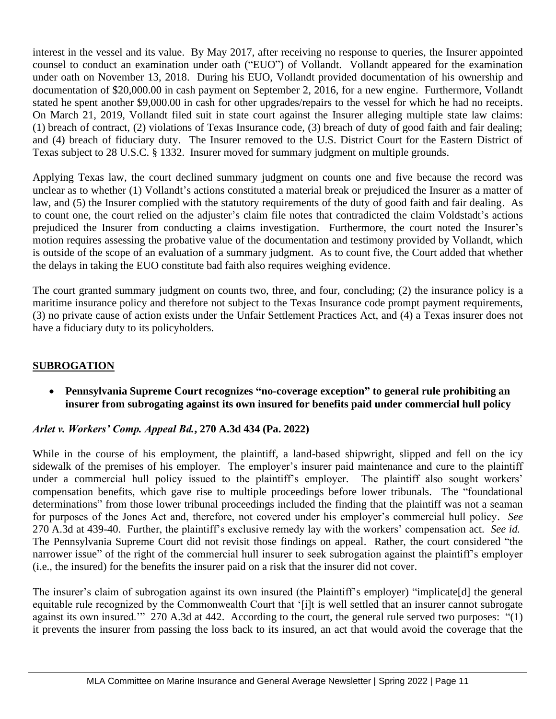interest in the vessel and its value. By May 2017, after receiving no response to queries, the Insurer appointed counsel to conduct an examination under oath ("EUO") of Vollandt. Vollandt appeared for the examination under oath on November 13, 2018. During his EUO, Vollandt provided documentation of his ownership and documentation of \$20,000.00 in cash payment on September 2, 2016, for a new engine. Furthermore, Vollandt stated he spent another \$9,000.00 in cash for other upgrades/repairs to the vessel for which he had no receipts. On March 21, 2019, Vollandt filed suit in state court against the Insurer alleging multiple state law claims: (1) breach of contract, (2) violations of Texas Insurance code, (3) breach of duty of good faith and fair dealing; and (4) breach of fiduciary duty. The Insurer removed to the U.S. District Court for the Eastern District of Texas subject to 28 U.S.C. § 1332. Insurer moved for summary judgment on multiple grounds.

Applying Texas law, the court declined summary judgment on counts one and five because the record was unclear as to whether (1) Vollandt's actions constituted a material break or prejudiced the Insurer as a matter of law, and (5) the Insurer complied with the statutory requirements of the duty of good faith and fair dealing. As to count one, the court relied on the adjuster's claim file notes that contradicted the claim Voldstadt's actions prejudiced the Insurer from conducting a claims investigation. Furthermore, the court noted the Insurer's motion requires assessing the probative value of the documentation and testimony provided by Vollandt, which is outside of the scope of an evaluation of a summary judgment. As to count five, the Court added that whether the delays in taking the EUO constitute bad faith also requires weighing evidence.

The court granted summary judgment on counts two, three, and four, concluding; (2) the insurance policy is a maritime insurance policy and therefore not subject to the Texas Insurance code prompt payment requirements, (3) no private cause of action exists under the Unfair Settlement Practices Act, and (4) a Texas insurer does not have a fiduciary duty to its policyholders.

## **SUBROGATION**

• **Pennsylvania Supreme Court recognizes "no-coverage exception" to general rule prohibiting an insurer from subrogating against its own insured for benefits paid under commercial hull policy**

## *Arlet v. Workers' Comp. Appeal Bd.***, 270 A.3d 434 (Pa. 2022)**

While in the course of his employment, the plaintiff, a land-based shipwright, slipped and fell on the icy sidewalk of the premises of his employer. The employer's insurer paid maintenance and cure to the plaintiff under a commercial hull policy issued to the plaintiff's employer. The plaintiff also sought workers' compensation benefits, which gave rise to multiple proceedings before lower tribunals. The "foundational determinations" from those lower tribunal proceedings included the finding that the plaintiff was not a seaman for purposes of the Jones Act and, therefore, not covered under his employer's commercial hull policy. *See* 270 A.3d at 439-40. Further, the plaintiff's exclusive remedy lay with the workers' compensation act. *See id.* The Pennsylvania Supreme Court did not revisit those findings on appeal. Rather, the court considered "the narrower issue" of the right of the commercial hull insurer to seek subrogation against the plaintiff's employer (i.e., the insured) for the benefits the insurer paid on a risk that the insurer did not cover.

The insurer's claim of subrogation against its own insured (the Plaintiff's employer) "implicate[d] the general equitable rule recognized by the Commonwealth Court that '[i]t is well settled that an insurer cannot subrogate against its own insured.'" 270 A.3d at 442. According to the court, the general rule served two purposes: "(1) it prevents the insurer from passing the loss back to its insured, an act that would avoid the coverage that the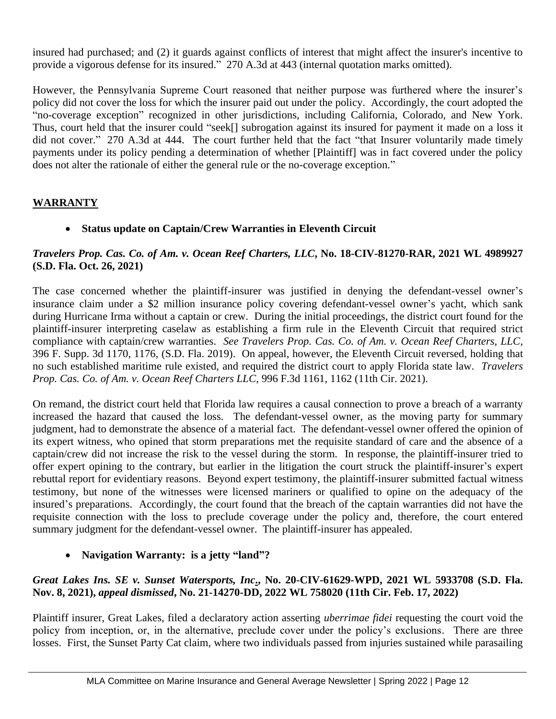insured had purchased; and (2) it guards against conflicts of interest that might affect the insurer's incentive to provide a vigorous defense for its insured." 270 A.3d at 443 (internal quotation marks omitted).

However, the Pennsylvania Supreme Court reasoned that neither purpose was furthered where the insurer's policy did not cover the loss for which the insurer paid out under the policy. Accordingly, the court adopted the "no-coverage exception" recognized in other jurisdictions, including California, Colorado, and New York. Thus, court held that the insurer could "seek[] subrogation against its insured for payment it made on a loss it did not cover." 270 A.3d at 444. The court further held that the fact "that Insurer voluntarily made timely payments under its policy pending a determination of whether [Plaintiff] was in fact covered under the policy does not alter the rationale of either the general rule or the no-coverage exception."

## **WARRANTY**

• **Status update on Captain/Crew Warranties in Eleventh Circuit**

#### *Travelers Prop. Cas. Co. of Am. v. Ocean Reef Charters, LLC***, No. 18-CIV-81270-RAR, 2021 WL 4989927 (S.D. Fla. Oct. 26, 2021)**

The case concerned whether the plaintiff-insurer was justified in denying the defendant-vessel owner's insurance claim under a \$2 million insurance policy covering defendant-vessel owner's yacht, which sank during Hurricane Irma without a captain or crew. During the initial proceedings, the district court found for the plaintiff-insurer interpreting caselaw as establishing a firm rule in the Eleventh Circuit that required strict compliance with captain/crew warranties. *See Travelers Prop. Cas. Co. of Am. v. Ocean Reef Charters, LLC*, 396 F. Supp. 3d 1170, 1176, (S.D. Fla. 2019). On appeal, however, the Eleventh Circuit reversed, holding that no such established maritime rule existed, and required the district court to apply Florida state law. *Travelers Prop. Cas. Co. of Am. v. Ocean Reef Charters LLC*, 996 F.3d 1161, 1162 (11th Cir. 2021).

On remand, the district court held that Florida law requires a causal connection to prove a breach of a warranty increased the hazard that caused the loss. The defendant-vessel owner, as the moving party for summary judgment, had to demonstrate the absence of a material fact. The defendant-vessel owner offered the opinion of its expert witness, who opined that storm preparations met the requisite standard of care and the absence of a captain/crew did not increase the risk to the vessel during the storm. In response, the plaintiff-insurer tried to offer expert opining to the contrary, but earlier in the litigation the court struck the plaintiff-insurer's expert rebuttal report for evidentiary reasons. Beyond expert testimony, the plaintiff-insurer submitted factual witness testimony, but none of the witnesses were licensed mariners or qualified to opine on the adequacy of the insured's preparations. Accordingly, the court found that the breach of the captain warranties did not have the requisite connection with the loss to preclude coverage under the policy and, therefore, the court entered summary judgment for the defendant-vessel owner. The plaintiff-insurer has appealed.

## • **Navigation Warranty: is a jetty "land"?**

## *Great Lakes Ins. SE v. Sunset Watersports, Inc***., No. 20-CIV-61629-WPD, 2021 WL 5933708 (S.D. Fla. Nov. 8, 2021),** *appeal dismissed***, No. 21-14270-DD, 2022 WL 758020 (11th Cir. Feb. 17, 2022)**

Plaintiff insurer, Great Lakes, filed a declaratory action asserting *uberrimae fidei* requesting the court void the policy from inception, or, in the alternative, preclude cover under the policy's exclusions. There are three losses. First, the Sunset Party Cat claim, where two individuals passed from injuries sustained while parasailing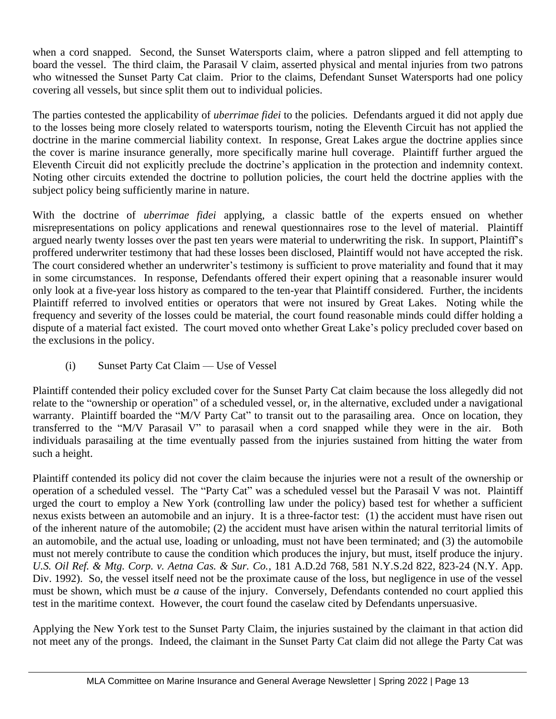when a cord snapped. Second, the Sunset Watersports claim, where a patron slipped and fell attempting to board the vessel. The third claim, the Parasail V claim, asserted physical and mental injuries from two patrons who witnessed the Sunset Party Cat claim. Prior to the claims, Defendant Sunset Watersports had one policy covering all vessels, but since split them out to individual policies.

The parties contested the applicability of *uberrimae fidei* to the policies. Defendants argued it did not apply due to the losses being more closely related to watersports tourism, noting the Eleventh Circuit has not applied the doctrine in the marine commercial liability context. In response, Great Lakes argue the doctrine applies since the cover is marine insurance generally, more specifically marine hull coverage. Plaintiff further argued the Eleventh Circuit did not explicitly preclude the doctrine's application in the protection and indemnity context. Noting other circuits extended the doctrine to pollution policies, the court held the doctrine applies with the subject policy being sufficiently marine in nature.

With the doctrine of *uberrimae fidei* applying, a classic battle of the experts ensued on whether misrepresentations on policy applications and renewal questionnaires rose to the level of material. Plaintiff argued nearly twenty losses over the past ten years were material to underwriting the risk. In support, Plaintiff's proffered underwriter testimony that had these losses been disclosed, Plaintiff would not have accepted the risk. The court considered whether an underwriter's testimony is sufficient to prove materiality and found that it may in some circumstances. In response, Defendants offered their expert opining that a reasonable insurer would only look at a five-year loss history as compared to the ten-year that Plaintiff considered. Further, the incidents Plaintiff referred to involved entities or operators that were not insured by Great Lakes. Noting while the frequency and severity of the losses could be material, the court found reasonable minds could differ holding a dispute of a material fact existed. The court moved onto whether Great Lake's policy precluded cover based on the exclusions in the policy.

(i) Sunset Party Cat Claim — Use of Vessel

Plaintiff contended their policy excluded cover for the Sunset Party Cat claim because the loss allegedly did not relate to the "ownership or operation" of a scheduled vessel, or, in the alternative, excluded under a navigational warranty. Plaintiff boarded the "M/V Party Cat" to transit out to the parasailing area. Once on location, they transferred to the "M/V Parasail V" to parasail when a cord snapped while they were in the air. Both individuals parasailing at the time eventually passed from the injuries sustained from hitting the water from such a height.

Plaintiff contended its policy did not cover the claim because the injuries were not a result of the ownership or operation of a scheduled vessel. The "Party Cat" was a scheduled vessel but the Parasail V was not. Plaintiff urged the court to employ a New York (controlling law under the policy) based test for whether a sufficient nexus exists between an automobile and an injury. It is a three-factor test: (1) the accident must have risen out of the inherent nature of the automobile; (2) the accident must have arisen within the natural territorial limits of an automobile, and the actual use, loading or unloading, must not have been terminated; and (3) the automobile must not merely contribute to cause the condition which produces the injury, but must, itself produce the injury. *U.S. Oil Ref. & Mtg. Corp. v. Aetna Cas. & Sur. Co.*, 181 A.D.2d 768, 581 N.Y.S.2d 822, 823-24 (N.Y. App. Div. 1992). So, the vessel itself need not be the proximate cause of the loss, but negligence in use of the vessel must be shown, which must be *a* cause of the injury. Conversely, Defendants contended no court applied this test in the maritime context. However, the court found the caselaw cited by Defendants unpersuasive.

Applying the New York test to the Sunset Party Claim, the injuries sustained by the claimant in that action did not meet any of the prongs. Indeed, the claimant in the Sunset Party Cat claim did not allege the Party Cat was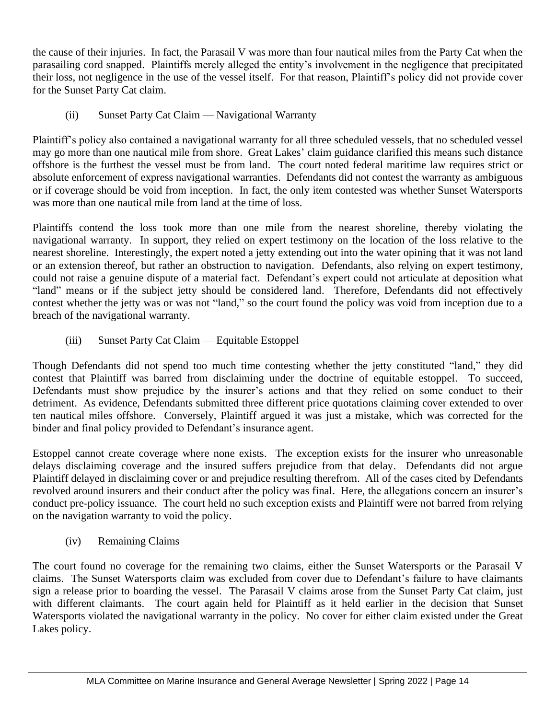the cause of their injuries. In fact, the Parasail V was more than four nautical miles from the Party Cat when the parasailing cord snapped. Plaintiffs merely alleged the entity's involvement in the negligence that precipitated their loss, not negligence in the use of the vessel itself. For that reason, Plaintiff's policy did not provide cover for the Sunset Party Cat claim.

(ii) Sunset Party Cat Claim — Navigational Warranty

Plaintiff's policy also contained a navigational warranty for all three scheduled vessels, that no scheduled vessel may go more than one nautical mile from shore. Great Lakes' claim guidance clarified this means such distance offshore is the furthest the vessel must be from land. The court noted federal maritime law requires strict or absolute enforcement of express navigational warranties. Defendants did not contest the warranty as ambiguous or if coverage should be void from inception. In fact, the only item contested was whether Sunset Watersports was more than one nautical mile from land at the time of loss.

Plaintiffs contend the loss took more than one mile from the nearest shoreline, thereby violating the navigational warranty. In support, they relied on expert testimony on the location of the loss relative to the nearest shoreline. Interestingly, the expert noted a jetty extending out into the water opining that it was not land or an extension thereof, but rather an obstruction to navigation. Defendants, also relying on expert testimony, could not raise a genuine dispute of a material fact. Defendant's expert could not articulate at deposition what "land" means or if the subject jetty should be considered land. Therefore, Defendants did not effectively contest whether the jetty was or was not "land," so the court found the policy was void from inception due to a breach of the navigational warranty.

(iii) Sunset Party Cat Claim — Equitable Estoppel

Though Defendants did not spend too much time contesting whether the jetty constituted "land," they did contest that Plaintiff was barred from disclaiming under the doctrine of equitable estoppel. To succeed, Defendants must show prejudice by the insurer's actions and that they relied on some conduct to their detriment. As evidence, Defendants submitted three different price quotations claiming cover extended to over ten nautical miles offshore. Conversely, Plaintiff argued it was just a mistake, which was corrected for the binder and final policy provided to Defendant's insurance agent.

Estoppel cannot create coverage where none exists. The exception exists for the insurer who unreasonable delays disclaiming coverage and the insured suffers prejudice from that delay. Defendants did not argue Plaintiff delayed in disclaiming cover or and prejudice resulting therefrom. All of the cases cited by Defendants revolved around insurers and their conduct after the policy was final. Here, the allegations concern an insurer's conduct pre-policy issuance. The court held no such exception exists and Plaintiff were not barred from relying on the navigation warranty to void the policy.

(iv) Remaining Claims

The court found no coverage for the remaining two claims, either the Sunset Watersports or the Parasail V claims. The Sunset Watersports claim was excluded from cover due to Defendant's failure to have claimants sign a release prior to boarding the vessel. The Parasail V claims arose from the Sunset Party Cat claim, just with different claimants. The court again held for Plaintiff as it held earlier in the decision that Sunset Watersports violated the navigational warranty in the policy. No cover for either claim existed under the Great Lakes policy.